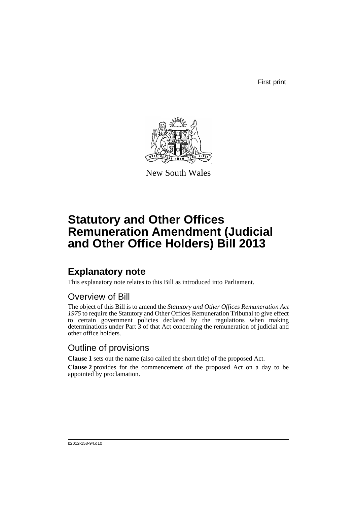First print



New South Wales

# **Statutory and Other Offices Remuneration Amendment (Judicial and Other Office Holders) Bill 2013**

# **Explanatory note**

This explanatory note relates to this Bill as introduced into Parliament.

## Overview of Bill

The object of this Bill is to amend the *Statutory and Other Offices Remuneration Act 1975* to require the Statutory and Other Offices Remuneration Tribunal to give effect to certain government policies declared by the regulations when making determinations under Part 3 of that Act concerning the remuneration of judicial and other office holders.

## Outline of provisions

**Clause 1** sets out the name (also called the short title) of the proposed Act.

**Clause 2** provides for the commencement of the proposed Act on a day to be appointed by proclamation.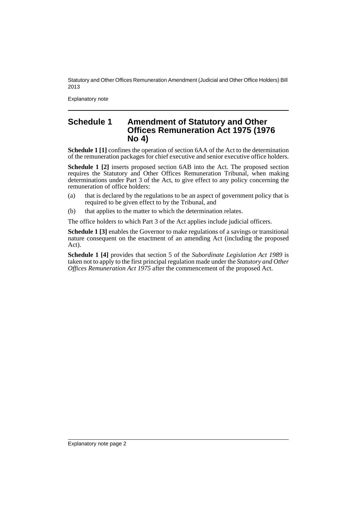Statutory and Other Offices Remuneration Amendment (Judicial and Other Office Holders) Bill 2013

Explanatory note

## **Schedule 1 Amendment of Statutory and Other Offices Remuneration Act 1975 (1976 No 4)**

**Schedule 1 [1]** confines the operation of section 6AA of the Act to the determination of the remuneration packages for chief executive and senior executive office holders.

**Schedule 1 [2]** inserts proposed section 6AB into the Act. The proposed section requires the Statutory and Other Offices Remuneration Tribunal, when making determinations under Part 3 of the Act, to give effect to any policy concerning the remuneration of office holders:

- (a) that is declared by the regulations to be an aspect of government policy that is required to be given effect to by the Tribunal, and
- (b) that applies to the matter to which the determination relates.

The office holders to which Part 3 of the Act applies include judicial officers.

**Schedule 1 [3]** enables the Governor to make regulations of a savings or transitional nature consequent on the enactment of an amending Act (including the proposed Act).

**Schedule 1 [4]** provides that section 5 of the *Subordinate Legislation Act 1989* is taken not to apply to the first principal regulation made under the *Statutory and Other Offices Remuneration Act 1975* after the commencement of the proposed Act.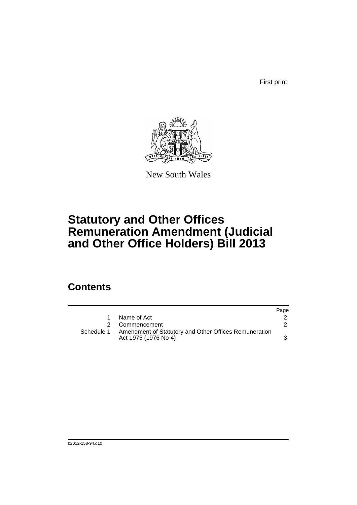First print



New South Wales

# **Statutory and Other Offices Remuneration Amendment (Judicial and Other Office Holders) Bill 2013**

## **Contents**

|            |                                                                               | Page |
|------------|-------------------------------------------------------------------------------|------|
| 1.         | Name of Act                                                                   |      |
|            | 2 Commencement                                                                |      |
| Schedule 1 | Amendment of Statutory and Other Offices Remuneration<br>Act 1975 (1976 No 4) |      |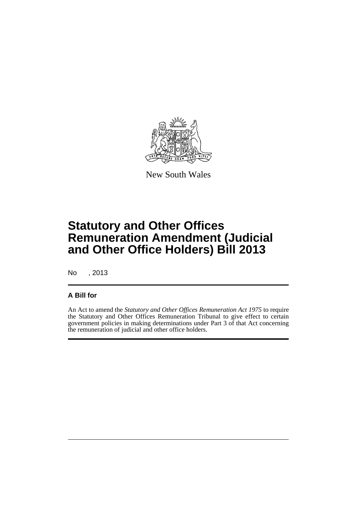

New South Wales

# **Statutory and Other Offices Remuneration Amendment (Judicial and Other Office Holders) Bill 2013**

No , 2013

## **A Bill for**

An Act to amend the *Statutory and Other Offices Remuneration Act 1975* to require the Statutory and Other Offices Remuneration Tribunal to give effect to certain government policies in making determinations under Part 3 of that Act concerning the remuneration of judicial and other office holders.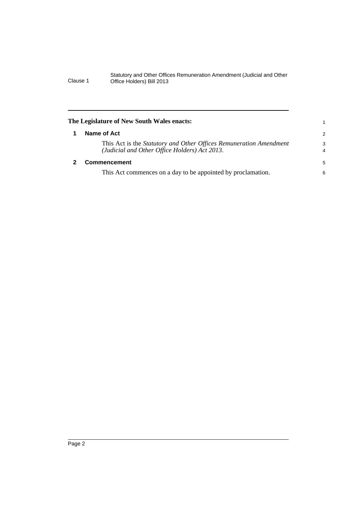#### Statutory and Other Offices Remuneration Amendment (Judicial and Other Clause 1 Office Holders) Bill 2013

<span id="page-5-1"></span><span id="page-5-0"></span>

| The Legislature of New South Wales enacts:                                                                                 |                     |
|----------------------------------------------------------------------------------------------------------------------------|---------------------|
| Name of Act                                                                                                                | 2                   |
| This Act is the <i>Statutory and Other Offices Remuneration Amendment</i><br>(Judicial and Other Office Holders) Act 2013. | 3<br>$\overline{4}$ |
| <b>Commencement</b>                                                                                                        |                     |
| This Act commences on a day to be appointed by proclamation.                                                               | 6                   |
|                                                                                                                            |                     |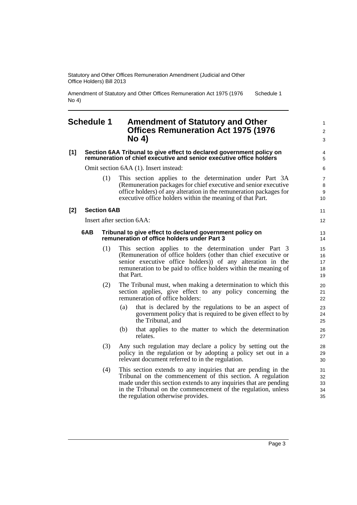Statutory and Other Offices Remuneration Amendment (Judicial and Other Office Holders) Bill 2013

Amendment of Statutory and Other Offices Remuneration Act 1975 (1976 No 4) Schedule 1

## <span id="page-6-0"></span>**Schedule 1 Amendment of Statutory and Other Offices Remuneration Act 1975 (1976 No 4)**

1  $\overline{2}$ 3

#### **[1] Section 6AA Tribunal to give effect to declared government policy on remuneration of chief executive and senior executive office holders**

Omit section 6AA (1). Insert instead:

(1) This section applies to the determination under Part 3A (Remuneration packages for chief executive and senior executive office holders) of any alteration in the remuneration packages for executive office holders within the meaning of that Part.

### **[2] Section 6AB**

Insert after section 6AA:

#### **6AB Tribunal to give effect to declared government policy on remuneration of office holders under Part 3**

- (1) This section applies to the determination under Part 3 (Remuneration of office holders (other than chief executive or senior executive office holders)) of any alteration in the remuneration to be paid to office holders within the meaning of that Part.
- (2) The Tribunal must, when making a determination to which this section applies, give effect to any policy concerning the remuneration of office holders:
	- (a) that is declared by the regulations to be an aspect of government policy that is required to be given effect to by the Tribunal, and
	- (b) that applies to the matter to which the determination relates.
- (3) Any such regulation may declare a policy by setting out the policy in the regulation or by adopting a policy set out in a relevant document referred to in the regulation.
- (4) This section extends to any inquiries that are pending in the Tribunal on the commencement of this section. A regulation made under this section extends to any inquiries that are pending in the Tribunal on the commencement of the regulation, unless the regulation otherwise provides.